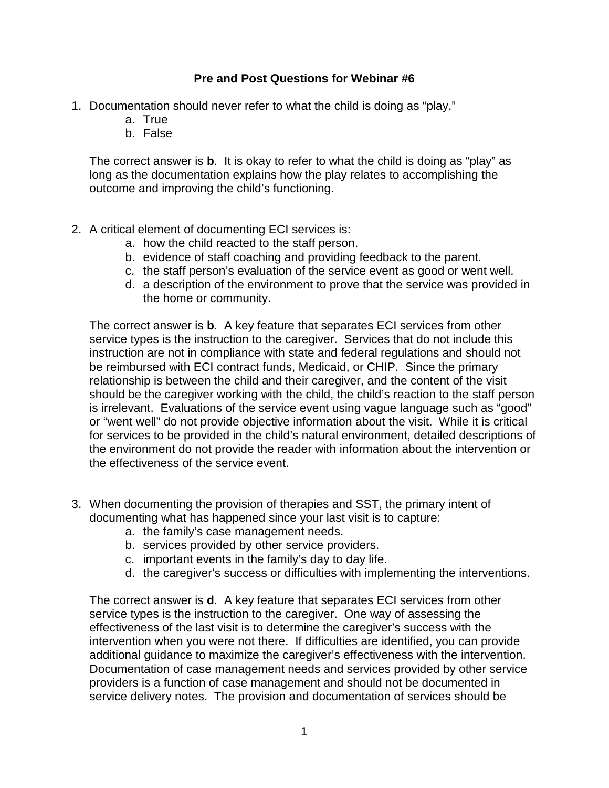## **Pre and Post Questions for Webinar #6**

- 1. Documentation should never refer to what the child is doing as "play."
	- a. True
	- b. False

The correct answer is **b**. It is okay to refer to what the child is doing as "play" as long as the documentation explains how the play relates to accomplishing the outcome and improving the child's functioning.

- 2. A critical element of documenting ECI services is:
	- a. how the child reacted to the staff person.
	- b. evidence of staff coaching and providing feedback to the parent.
	- c. the staff person's evaluation of the service event as good or went well.
	- d. a description of the environment to prove that the service was provided in the home or community.

The correct answer is **b**. A key feature that separates ECI services from other service types is the instruction to the caregiver. Services that do not include this instruction are not in compliance with state and federal regulations and should not be reimbursed with ECI contract funds, Medicaid, or CHIP. Since the primary relationship is between the child and their caregiver, and the content of the visit should be the caregiver working with the child, the child's reaction to the staff person is irrelevant. Evaluations of the service event using vague language such as "good" or "went well" do not provide objective information about the visit. While it is critical for services to be provided in the child's natural environment, detailed descriptions of the environment do not provide the reader with information about the intervention or the effectiveness of the service event.

- 3. When documenting the provision of therapies and SST, the primary intent of documenting what has happened since your last visit is to capture:
	- a. the family's case management needs.
	- b. services provided by other service providers.
	- c. important events in the family's day to day life.
	- d. the caregiver's success or difficulties with implementing the interventions.

The correct answer is **d**. A key feature that separates ECI services from other service types is the instruction to the caregiver. One way of assessing the effectiveness of the last visit is to determine the caregiver's success with the intervention when you were not there. If difficulties are identified, you can provide additional guidance to maximize the caregiver's effectiveness with the intervention. Documentation of case management needs and services provided by other service providers is a function of case management and should not be documented in service delivery notes. The provision and documentation of services should be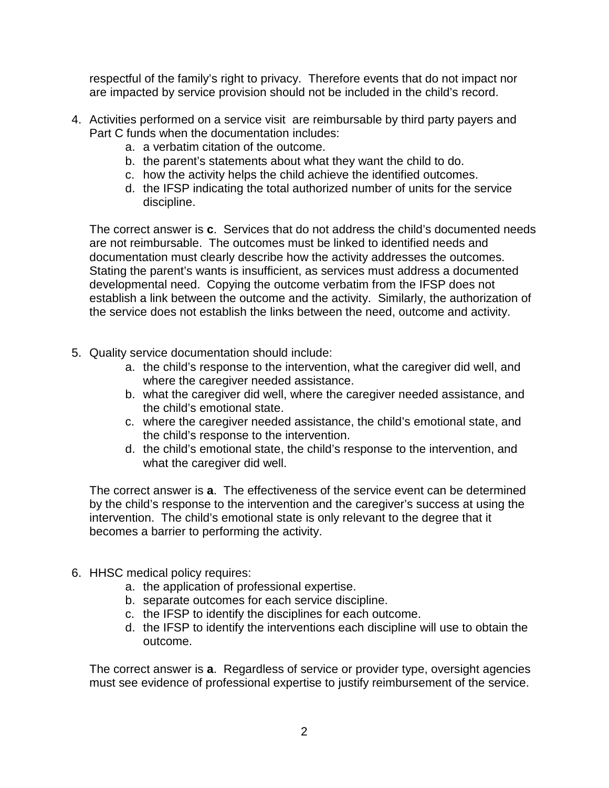respectful of the family's right to privacy. Therefore events that do not impact nor are impacted by service provision should not be included in the child's record.

- 4. Activities performed on a service visit are reimbursable by third party payers and Part C funds when the documentation includes:
	- a. a verbatim citation of the outcome.
	- b. the parent's statements about what they want the child to do.
	- c. how the activity helps the child achieve the identified outcomes.
	- d. the IFSP indicating the total authorized number of units for the service discipline.

The correct answer is **c**. Services that do not address the child's documented needs are not reimbursable. The outcomes must be linked to identified needs and documentation must clearly describe how the activity addresses the outcomes. Stating the parent's wants is insufficient, as services must address a documented developmental need. Copying the outcome verbatim from the IFSP does not establish a link between the outcome and the activity. Similarly, the authorization of the service does not establish the links between the need, outcome and activity.

- 5. Quality service documentation should include:
	- a. the child's response to the intervention, what the caregiver did well, and where the caregiver needed assistance.
	- b. what the caregiver did well, where the caregiver needed assistance, and the child's emotional state.
	- c. where the caregiver needed assistance, the child's emotional state, and the child's response to the intervention.
	- d. the child's emotional state, the child's response to the intervention, and what the caregiver did well.

The correct answer is **a**. The effectiveness of the service event can be determined by the child's response to the intervention and the caregiver's success at using the intervention. The child's emotional state is only relevant to the degree that it becomes a barrier to performing the activity.

- 6. HHSC medical policy requires:
	- a. the application of professional expertise.
	- b. separate outcomes for each service discipline.
	- c. the IFSP to identify the disciplines for each outcome.
	- d. the IFSP to identify the interventions each discipline will use to obtain the outcome.

The correct answer is **a**. Regardless of service or provider type, oversight agencies must see evidence of professional expertise to justify reimbursement of the service.